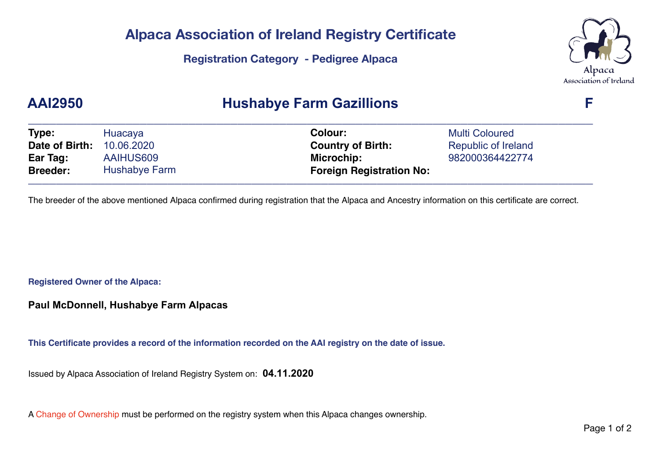### **Alpaca Association of Ireland Registry Certificate**

**Registration Category - Pedigree Alpaca** 



# **AAI2950 Hushabye Farm Gazillions F**

| Type:           | Huacaya       | <b>Colour:</b>                  | <b>Multi Coloured</b> |  |
|-----------------|---------------|---------------------------------|-----------------------|--|
| Date of Birth:  | 10.06.2020    | <b>Country of Birth:</b>        | Republic of Ireland   |  |
| Ear Tag:        | AAIHUS609     | Microchip:                      | 982000364422774       |  |
| <b>Breeder:</b> | Hushabye Farm | <b>Foreign Registration No:</b> |                       |  |

The breeder of the above mentioned Alpaca confirmed during registration that the Alpaca and Ancestry information on this certificate are correct.

**Registered Owner of the Alpaca:**

**Paul McDonnell, Hushabye Farm Alpacas**

**This Certificate provides a record of the information recorded on the AAI registry on the date of issue.**

Issued by Alpaca Association of Ireland Registry System on: **04.11.2020**

A Change of Ownership must be performed on the registry system when this Alpaca changes ownership.